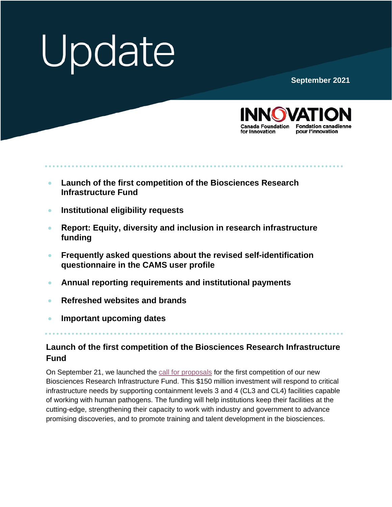# Update

**September 2021**



- **Launch of the first competition of the Biosciences Research Infrastructure Fund**
- **[Institutional eligibility requests](#page-1-0)**
- **Report: Equity, diversity [and inclusion in research infrastructure](#page-2-0) funding**
- **[Frequently asked questions about the revised self-identification](#page-2-0) questionnaire in the CAMS user profile**
- **[Annual reporting requirements and institutional payments](#page-2-0)**
- **[Refreshed websites and brands](#page-3-0)**
- **[Important upcoming dates](#page-3-0)**

## **Launch of the first competition of the Biosciences Research Infrastructure Fund**

On September 21, we launched the [call for proposals](https://www.innovation.ca/appy-manage-awards/funding-opportunities/biosciences-research-infrastructure-fund) for the first competition of our new Biosciences Research Infrastructure Fund. This \$150 million investment will respond to critical infrastructure needs by supporting containment levels 3 and 4 (CL3 and CL4) facilities capable of working with human pathogens. The funding will help institutions keep their facilities at the cutting-edge, strengthening their capacity to work with industry and government to advance promising discoveries, and to promote training and talent development in the biosciences.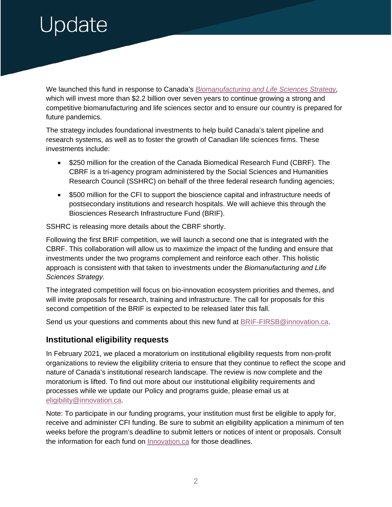# <span id="page-1-0"></span>Jpdate

We launched this fund in response to Canada's *[Biomanufacturing and Life Sciences Strategy,](https://www.ic.gc.ca/eic/site/151.nsf/eng/00019.html)*  which will invest more than \$2.2 billion over seven years to continue growing a strong and competitive biomanufacturing and life sciences sector and to ensure our country is prepared for future pandemics.

The strategy includes foundational investments to help build Canada's talent pipeline and research systems, as well as to foster the growth of Canadian life sciences firms. These investments include:

- \$250 million for the creation of the Canada Biomedical Research Fund (CBRF). The CBRF is a tri-agency program administered by the Social Sciences and Humanities Research Council (SSHRC) on behalf of the three federal research funding agencies;
- \$500 million for the CFI to support the bioscience capital and infrastructure needs of postsecondary institutions and research hospitals. We will achieve this through the Biosciences Research Infrastructure Fund (BRIF).

SSHRC is releasing more details about the CBRF shortly.

Following the first BRIF competition, we will launch a second one that is integrated with the CBRF. This collaboration will allow us to maximize the impact of the funding and ensure that investments under the two programs complement and reinforce each other. This holistic approach is consistent with that taken to investments under the *Biomanufacturing and Life Sciences Strategy.* 

The integrated competition will focus on bio-innovation ecosystem priorities and themes, and will invite proposals for research, training and infrastructure. The call for proposals for this second competition of the BRIF is expected to be released later this fall.

Send us your questions and comments about this new fund at [BRIF-FIRSB@innovation.ca.](mailto:BRIF-FIRSB@innovation.ca)

### **Institutional eligibility requests**

In February 2021, we placed a moratorium on institutional eligibility requests from non-profit organizations to review the eligibility criteria to ensure that they continue to reflect the scope and nature of Canada's institutional research landscape. The review is now complete and the moratorium is lifted. To find out more about our institutional eligibility requirements and processes while we update our Policy and programs guide, please email us at [eligibility@innovation.ca.](mailto:eligibility@innovation.ca)

Note: To participate in our funding programs, your institution must first be eligible to apply for, receive and administer CFI funding. Be sure to submit an eligibility application a minimum of ten weeks before the program's deadline to submit letters or notices of intent or proposals. Consult the information for each fund on [Innovation.ca](https://www.innovation.ca/apply-manage-awards) for those deadlines.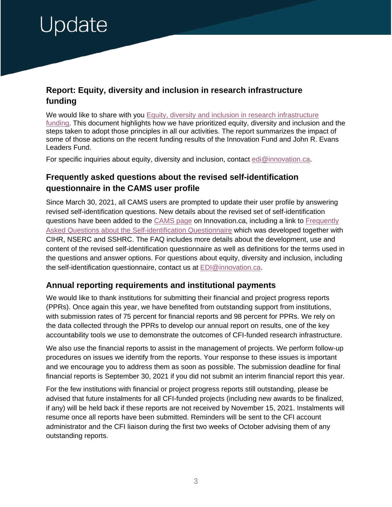# <span id="page-2-0"></span>Update

### **Report: Equity, diversity and inclusion in research infrastructure funding**

We would like to share with you Equity, diversity and inclusion in research infrastructure [funding.](https://www.innovation.ca/assessing-performance/reporting-results) This document highlights how we have prioritized equity, diversity and inclusion and the steps taken to adopt those principles in all our activities. The report summarizes the impact of some of those actions on the recent funding results of the Innovation Fund and John R. Evans Leaders Fund.

For specific inquiries about equity, diversity and inclusion, contact [edi@innovation.ca.](mailto:edi@innovation.ca)

### **Frequently asked questions about the revised self-identification questionnaire in the CAMS user profile**

Since March 30, 2021, all CAMS users are prompted to update their user profile by answering revised self-identification questions. New details about the revised set of self-identification questions have been added to the [CAMS page](https://www.innovation.ca/apply-manage-awards/using-our-awards-management-system-cams/self-identification-questions) on Innovation.ca, including a link to [Frequently](https://science.gc.ca/eic/site/063.nsf/eng/h_97737.html)  [Asked Questions about the Self-identification Questionnaire](https://science.gc.ca/eic/site/063.nsf/eng/h_97737.html) which was developed together with CIHR, NSERC and SSHRC. The FAQ includes more details about the development, use and content of the revised self-identification questionnaire as well as definitions for the terms used in the questions and answer options. For questions about equity, diversity and inclusion, including the self-identification questionnaire, contact us at [EDI@innovation.ca.](mailto:EDI@innovation.ca)

#### **Annual reporting requirements and institutional payments**

We would like to thank institutions for submitting their financial and project progress reports (PPRs). Once again this year, we have benefited from outstanding support from institutions, with submission rates of 75 percent for financial reports and 98 percent for PPRs. We rely on the data collected through the PPRs to develop our annual report on results, one of the key accountability tools we use to demonstrate the outcomes of CFI-funded research infrastructure.

We also use the financial reports to assist in the management of projects. We perform follow-up procedures on issues we identify from the reports. Your response to these issues is important and we encourage you to address them as soon as possible. The submission deadline for final financial reports is September 30, 2021 if you did not submit an interim financial report this year.

For the few institutions with financial or project progress reports still outstanding, please be advised that future instalments for all CFI-funded projects (including new awards to be finalized, if any) will be held back if these reports are not received by November 15, 2021. Instalments will resume once all reports have been submitted. Reminders will be sent to the CFI account administrator and the CFI liaison during the first two weeks of October advising them of any outstanding reports.